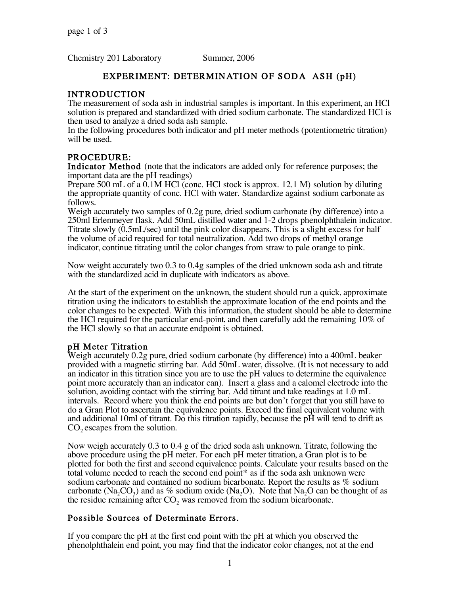Chemistry 201 Laboratory Summer, 2006

## EXPERIMENT: DETERMINATION OF SODA ASH (pH)

## INTRODUCTION

The measurement of soda ash in industrial samples is important. In this experiment, an HCl solution is prepared and standardized with dried sodium carbonate. The standardized HCl is then used to analyze a dried soda ash sample.

In the following procedures both indicator and pH meter methods (potentiometric titration) will be used.

# PROCEDURE:

Indicator Method (note that the indicators are added only for reference purposes; the important data are the pH readings)

Prepare 500 mL of a 0.1M HCl (conc. HCl stock is approx. 12.1 M) solution by diluting the appropriate quantity of conc. HCl with water. Standardize against sodium carbonate as follows.

Weigh accurately two samples of 0.2g pure, dried sodium carbonate (by difference) into a 250ml Erlenmeyer flask. Add 50mL distilled water and 1-2 drops phenolphthalein indicator. Titrate slowly (0.5mL/sec) until the pink color disappears. This is a slight excess for half the volume of acid required for total neutralization. Add two drops of methyl orange indicator, continue titrating until the color changes from straw to pale orange to pink.

Now weight accurately two 0.3 to 0.4g samples of the dried unknown soda ash and titrate with the standardized acid in duplicate with indicators as above.

At the start of the experiment on the unknown, the student should run a quick, approximate titration using the indicators to establish the approximate location of the end points and the color changes to be expected. With this information, the student should be able to determine the HCl required for the particular end-point, and then carefully add the remaining 10% of the HCl slowly so that an accurate endpoint is obtained.

## pH Meter Titration

Weigh accurately 0.2g pure, dried sodium carbonate (by difference) into a 400mL beaker provided with a magnetic stirring bar. Add 50mL water, dissolve. (It is not necessary to add an indicator in this titration since you are to use the pH values to determine the equivalence point more accurately than an indicator can). Insert a glass and a calomel electrode into the solution, avoiding contact with the stirring bar. Add titrant and take readings at 1.0 mL intervals. Record where you think the end points are but don't forget that you still have to do a Gran Plot to ascertain the equivalence points. Exceed the final equivalent volume with and additional 10ml of titrant. Do this titration rapidly, because the pH will tend to drift as  $CO<sub>2</sub>$  escapes from the solution.

Now weigh accurately 0.3 to 0.4 g of the dried soda ash unknown. Titrate, following the above procedure using the pH meter. For each pH meter titration, a Gran plot is to be plotted for both the first and second equivalence points. Calculate your results based on the total volume needed to reach the second end point\* as if the soda ash unknown were sodium carbonate and contained no sodium bicarbonate. Report the results as % sodium carbonate (Na<sub>2</sub>CO<sub>3</sub>) and as % sodium oxide (Na<sub>2</sub>O). Note that Na<sub>2</sub>O can be thought of as the residue remaining after  $CO<sub>2</sub>$  was removed from the sodium bicarbonate.

## Possible Sources of Determinate Errors.

If you compare the pH at the first end point with the pH at which you observed the phenolphthalein end point, you may find that the indicator color changes, not at the end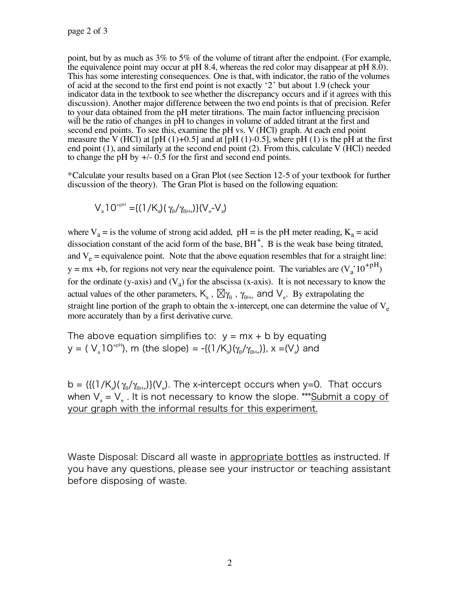point, but by as much as 3% to 5% of the volume of titrant after the endpoint. (For example, the equivalence point may occur at  $pH$  8.4, whereas the red color may disappear at  $pH$  8.0). This has some interesting consequences. One is that, with indicator, the ratio of the volumes of acid at the second to the first end point is not exactly '2' but about 1.9 (check your indicator data in the textbook to see whether the discrepancy occurs and if it agrees with this discussion). Another major difference between the two end points is that of precision. Refer to your data obtained from the pH meter titrations. The main factor influencing precision will be the ratio of changes in pH to changes in volume of added titrant at the first and second end points. To see this, examine the pH vs. V (HCl) graph. At each end point measure the V (HCl) at  $[pH (1)+0.5]$  and at  $[pH (1)-0.5]$ , where pH (1) is the pH at the first end point  $(1)$ , and similarly at the second end point  $(2)$ . From this, calculate V (HCl) needed to change the pH by +/- 0.5 for the first and second end points.

\*Calculate your results based on a Gran Plot (see Section 12-5 of your textbook for further discussion of the theory). The Gran Plot is based on the following equation:

$$
V_{a} 10^{+pH} = \{(1/K_{a})(\gamma_B/\gamma_{BH+})\}(V_{e} - V_{a})
$$

where  $V_a$  = is the volume of strong acid added, pH = is the pH meter reading,  $K_a$  = acid dissociation constant of the acid form of the base,  $BH^+$ ,  $B$  is the weak base being titrated, and  $V_e$  = equivalence point. Note that the above equation resembles that for a straight line:  $y = mx + b$ , for regions not very near the equivalence point. The variables are  $(V_a \text{10}^{+pH})$ for the ordinate (y-axis) and  $(V_a)$  for the abscissa (x-axis). It is not necessary to know the actual values of the other parameters,  $K_{a}$ ,  $\boxtimes \gamma_{B}$ ,  $\gamma_{B++}$  and  $V_{e}$ . By extrapolating the straight line portion of the graph to obtain the x-intercept, one can determine the value of  $V_e$ more accurately than by a first derivative curve.

The above equation simplifies to:  $y = mx + b$  by equating y = (  $V_a$ 10<sup>+pH</sup>), m (the slope) = -{(1/K<sub>a</sub>)( $\gamma_B/\gamma_{BH+}}$ )}, x =(V<sub>a</sub>) and

b = ({(1/K<sub>a</sub>)( $\gamma_{\text{\tiny{B}}}$ / $\gamma_{\text{\tiny{B}H+}}$ )}(V<sub>e</sub>). The x-intercept occurs when y=0. That occurs when  $V_a = V_a$ . It is not necessary to know the slope. \*\*\* Submit a copy of your graph with the informal results for this experiment.

Waste Disposal: Discard all waste in appropriate bottles as instructed. If you have any questions, please see your instructor or teaching assistant before disposing of waste.